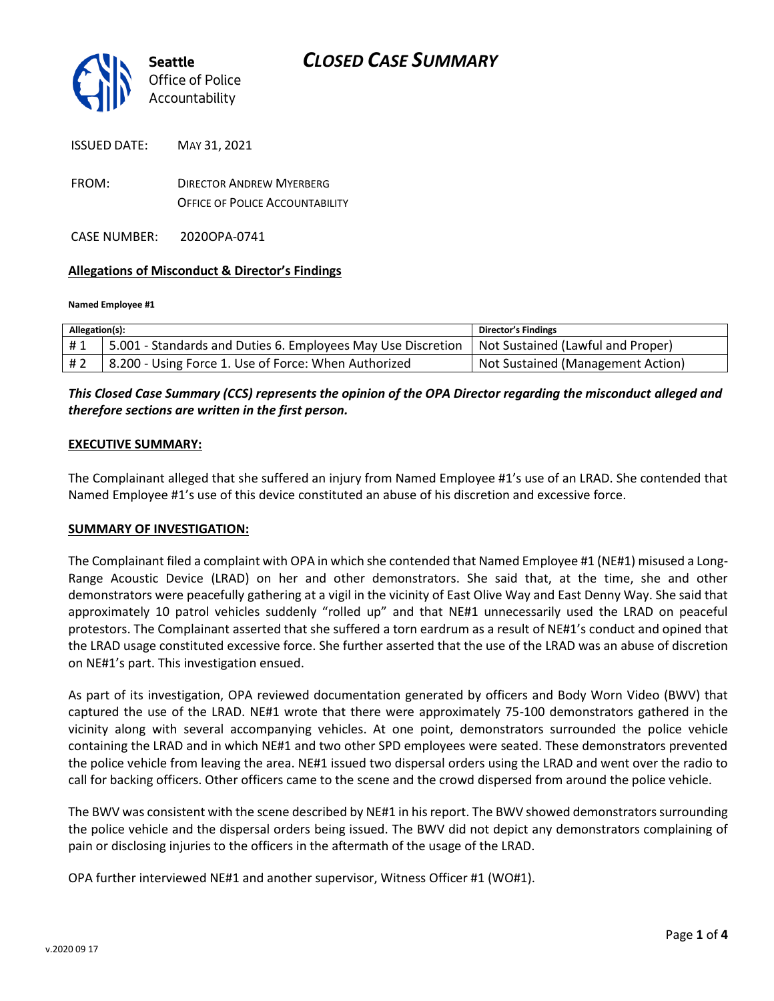

| <b>ISSUED DATE:</b> | MAY 31, 2021                                                              |
|---------------------|---------------------------------------------------------------------------|
| FROM:               | <b>DIRECTOR ANDREW MYERBERG</b><br><b>OFFICE OF POLICE ACCOUNTABILITY</b> |
|                     |                                                                           |

CASE NUMBER: 2020OPA-0741

### **Allegations of Misconduct & Director's Findings**

**Named Employee #1**

| Allegation(s): |                                                                                                  | Director's Findings               |
|----------------|--------------------------------------------------------------------------------------------------|-----------------------------------|
| #1             | S.001 - Standards and Duties 6. Employees May Use Discretion   Not Sustained (Lawful and Proper) |                                   |
| # 2            | 8.200 - Using Force 1. Use of Force: When Authorized                                             | Not Sustained (Management Action) |

### *This Closed Case Summary (CCS) represents the opinion of the OPA Director regarding the misconduct alleged and therefore sections are written in the first person.*

#### **EXECUTIVE SUMMARY:**

The Complainant alleged that she suffered an injury from Named Employee #1's use of an LRAD. She contended that Named Employee #1's use of this device constituted an abuse of his discretion and excessive force.

#### **SUMMARY OF INVESTIGATION:**

The Complainant filed a complaint with OPA in which she contended that Named Employee #1 (NE#1) misused a Long-Range Acoustic Device (LRAD) on her and other demonstrators. She said that, at the time, she and other demonstrators were peacefully gathering at a vigil in the vicinity of East Olive Way and East Denny Way. She said that approximately 10 patrol vehicles suddenly "rolled up" and that NE#1 unnecessarily used the LRAD on peaceful protestors. The Complainant asserted that she suffered a torn eardrum as a result of NE#1's conduct and opined that the LRAD usage constituted excessive force. She further asserted that the use of the LRAD was an abuse of discretion on NE#1's part. This investigation ensued.

As part of its investigation, OPA reviewed documentation generated by officers and Body Worn Video (BWV) that captured the use of the LRAD. NE#1 wrote that there were approximately 75-100 demonstrators gathered in the vicinity along with several accompanying vehicles. At one point, demonstrators surrounded the police vehicle containing the LRAD and in which NE#1 and two other SPD employees were seated. These demonstrators prevented the police vehicle from leaving the area. NE#1 issued two dispersal orders using the LRAD and went over the radio to call for backing officers. Other officers came to the scene and the crowd dispersed from around the police vehicle.

The BWV was consistent with the scene described by NE#1 in his report. The BWV showed demonstrators surrounding the police vehicle and the dispersal orders being issued. The BWV did not depict any demonstrators complaining of pain or disclosing injuries to the officers in the aftermath of the usage of the LRAD.

OPA further interviewed NE#1 and another supervisor, Witness Officer #1 (WO#1).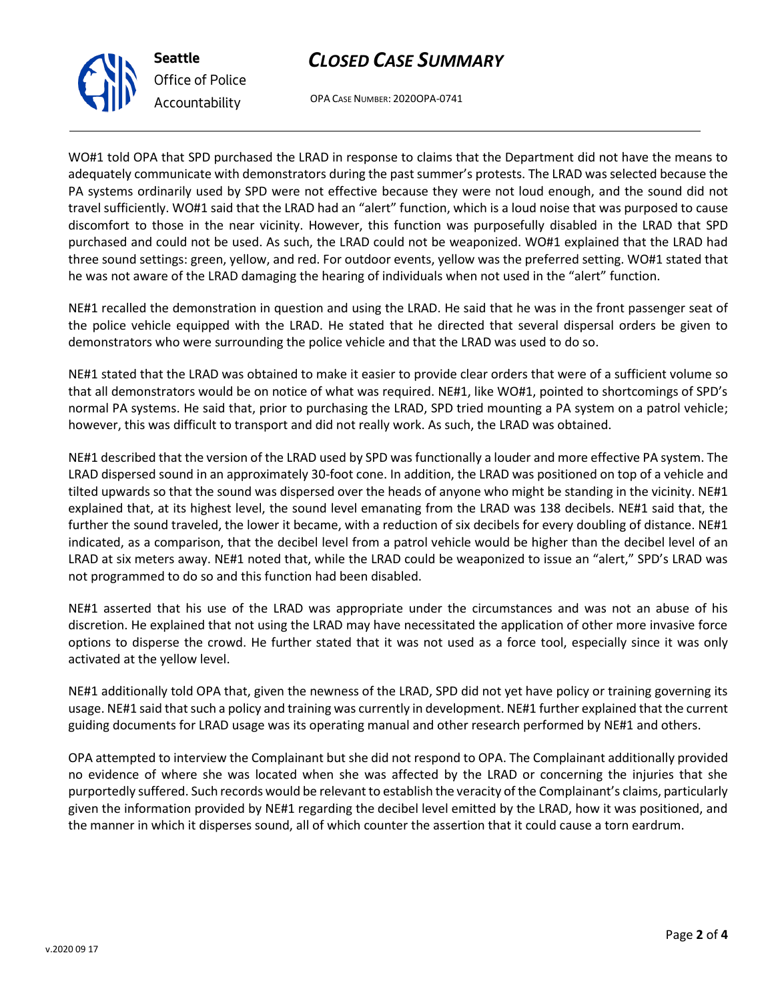# *CLOSED CASE SUMMARY*

OPA CASE NUMBER: 2020OPA-0741

WO#1 told OPA that SPD purchased the LRAD in response to claims that the Department did not have the means to adequately communicate with demonstrators during the past summer's protests. The LRAD was selected because the PA systems ordinarily used by SPD were not effective because they were not loud enough, and the sound did not travel sufficiently. WO#1 said that the LRAD had an "alert" function, which is a loud noise that was purposed to cause discomfort to those in the near vicinity. However, this function was purposefully disabled in the LRAD that SPD purchased and could not be used. As such, the LRAD could not be weaponized. WO#1 explained that the LRAD had three sound settings: green, yellow, and red. For outdoor events, yellow was the preferred setting. WO#1 stated that he was not aware of the LRAD damaging the hearing of individuals when not used in the "alert" function.

NE#1 recalled the demonstration in question and using the LRAD. He said that he was in the front passenger seat of the police vehicle equipped with the LRAD. He stated that he directed that several dispersal orders be given to demonstrators who were surrounding the police vehicle and that the LRAD was used to do so.

NE#1 stated that the LRAD was obtained to make it easier to provide clear orders that were of a sufficient volume so that all demonstrators would be on notice of what was required. NE#1, like WO#1, pointed to shortcomings of SPD's normal PA systems. He said that, prior to purchasing the LRAD, SPD tried mounting a PA system on a patrol vehicle; however, this was difficult to transport and did not really work. As such, the LRAD was obtained.

NE#1 described that the version of the LRAD used by SPD was functionally a louder and more effective PA system. The LRAD dispersed sound in an approximately 30-foot cone. In addition, the LRAD was positioned on top of a vehicle and tilted upwards so that the sound was dispersed over the heads of anyone who might be standing in the vicinity. NE#1 explained that, at its highest level, the sound level emanating from the LRAD was 138 decibels. NE#1 said that, the further the sound traveled, the lower it became, with a reduction of six decibels for every doubling of distance. NE#1 indicated, as a comparison, that the decibel level from a patrol vehicle would be higher than the decibel level of an LRAD at six meters away. NE#1 noted that, while the LRAD could be weaponized to issue an "alert," SPD's LRAD was not programmed to do so and this function had been disabled.

NE#1 asserted that his use of the LRAD was appropriate under the circumstances and was not an abuse of his discretion. He explained that not using the LRAD may have necessitated the application of other more invasive force options to disperse the crowd. He further stated that it was not used as a force tool, especially since it was only activated at the yellow level.

NE#1 additionally told OPA that, given the newness of the LRAD, SPD did not yet have policy or training governing its usage. NE#1 said that such a policy and training was currently in development. NE#1 further explained that the current guiding documents for LRAD usage was its operating manual and other research performed by NE#1 and others.

OPA attempted to interview the Complainant but she did not respond to OPA. The Complainant additionally provided no evidence of where she was located when she was affected by the LRAD or concerning the injuries that she purportedly suffered. Such records would be relevant to establish the veracity of the Complainant's claims, particularly given the information provided by NE#1 regarding the decibel level emitted by the LRAD, how it was positioned, and the manner in which it disperses sound, all of which counter the assertion that it could cause a torn eardrum.



**Seattle**

*Office of Police Accountability*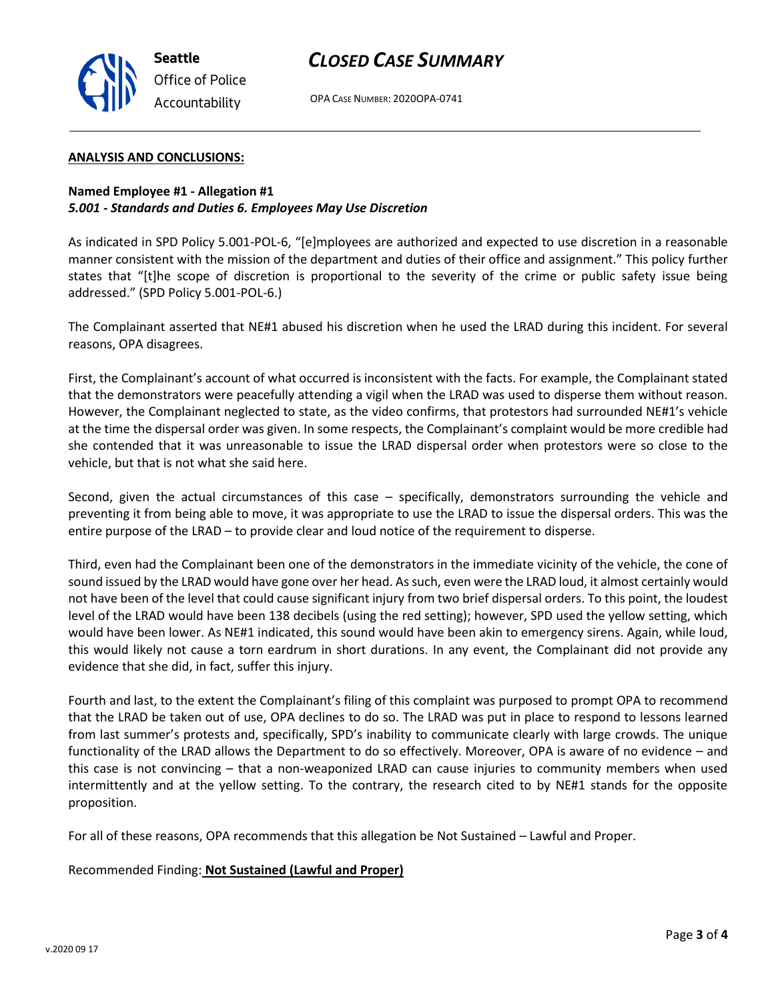

## *CLOSED CASE SUMMARY*

OPA CASE NUMBER: 2020OPA-0741

#### **ANALYSIS AND CONCLUSIONS:**

### **Named Employee #1 - Allegation #1** *5.001 - Standards and Duties 6. Employees May Use Discretion*

As indicated in SPD Policy 5.001-POL-6, "[e]mployees are authorized and expected to use discretion in a reasonable manner consistent with the mission of the department and duties of their office and assignment." This policy further states that "[t]he scope of discretion is proportional to the severity of the crime or public safety issue being addressed." (SPD Policy 5.001-POL-6.)

The Complainant asserted that NE#1 abused his discretion when he used the LRAD during this incident. For several reasons, OPA disagrees.

First, the Complainant's account of what occurred is inconsistent with the facts. For example, the Complainant stated that the demonstrators were peacefully attending a vigil when the LRAD was used to disperse them without reason. However, the Complainant neglected to state, as the video confirms, that protestors had surrounded NE#1's vehicle at the time the dispersal order was given. In some respects, the Complainant's complaint would be more credible had she contended that it was unreasonable to issue the LRAD dispersal order when protestors were so close to the vehicle, but that is not what she said here.

Second, given the actual circumstances of this case – specifically, demonstrators surrounding the vehicle and preventing it from being able to move, it was appropriate to use the LRAD to issue the dispersal orders. This was the entire purpose of the LRAD – to provide clear and loud notice of the requirement to disperse.

Third, even had the Complainant been one of the demonstrators in the immediate vicinity of the vehicle, the cone of sound issued by the LRAD would have gone over her head. As such, even were the LRAD loud, it almost certainly would not have been of the level that could cause significant injury from two brief dispersal orders. To this point, the loudest level of the LRAD would have been 138 decibels (using the red setting); however, SPD used the yellow setting, which would have been lower. As NE#1 indicated, this sound would have been akin to emergency sirens. Again, while loud, this would likely not cause a torn eardrum in short durations. In any event, the Complainant did not provide any evidence that she did, in fact, suffer this injury.

Fourth and last, to the extent the Complainant's filing of this complaint was purposed to prompt OPA to recommend that the LRAD be taken out of use, OPA declines to do so. The LRAD was put in place to respond to lessons learned from last summer's protests and, specifically, SPD's inability to communicate clearly with large crowds. The unique functionality of the LRAD allows the Department to do so effectively. Moreover, OPA is aware of no evidence – and this case is not convincing – that a non-weaponized LRAD can cause injuries to community members when used intermittently and at the yellow setting. To the contrary, the research cited to by NE#1 stands for the opposite proposition.

For all of these reasons, OPA recommends that this allegation be Not Sustained – Lawful and Proper.

Recommended Finding: **Not Sustained (Lawful and Proper)**